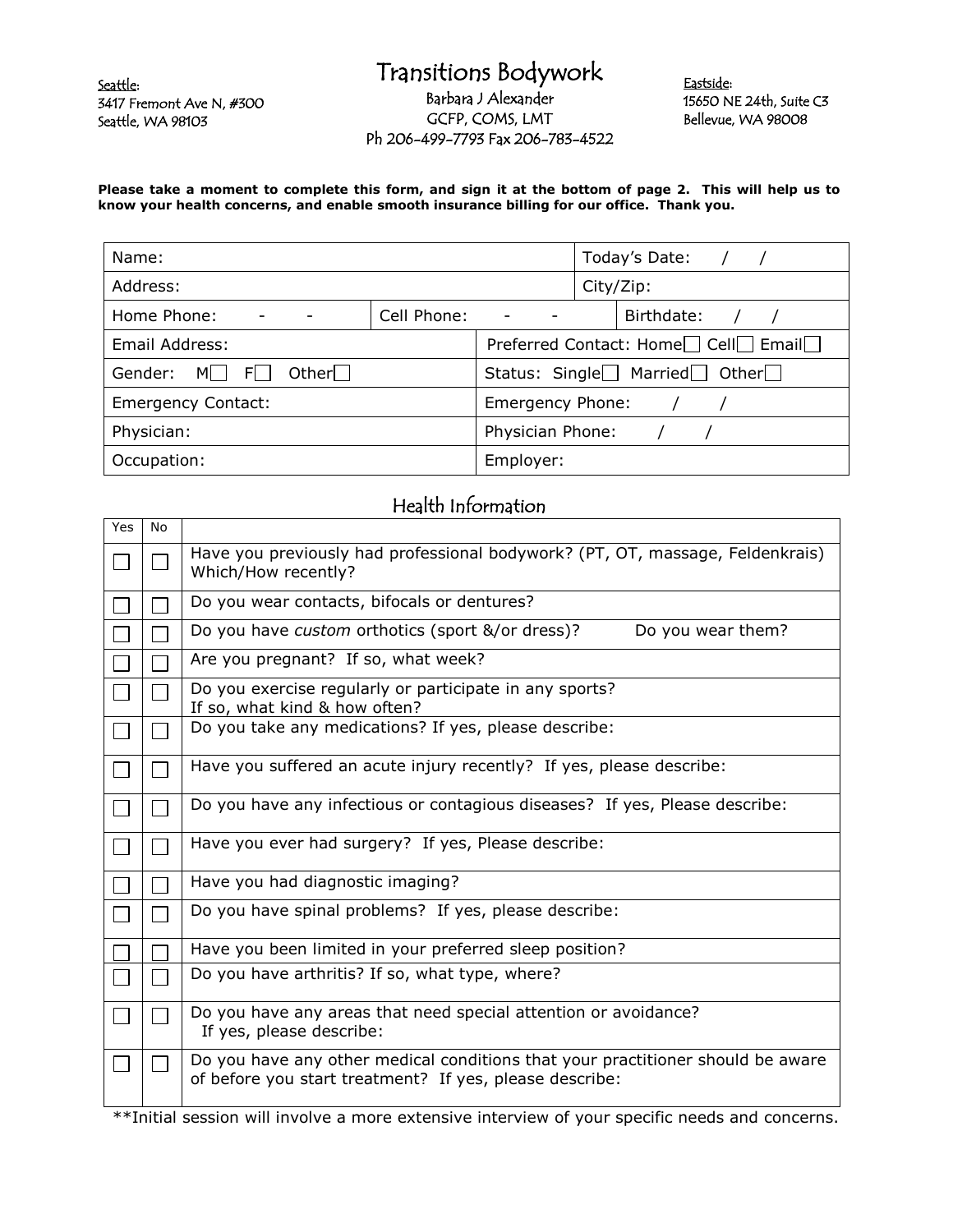Seattle: 3417 Fremont Ave N, #300 Seattle, WA 98103

## Transitions Bodywork Barbara J Alexander GCFP, COMS, LMT Ph 206-499-7793 Fax 206-783-4522

Eastside: 15650 NE 24th, Suite C3 Bellevue, WA 98008

**Please take a moment to complete this form, and sign it at the bottom of page 2. This will help us to know your health concerns, and enable smooth insurance billing for our office. Thank you.**

| Name:                                 |             | Today's Date:                                                             |  |
|---------------------------------------|-------------|---------------------------------------------------------------------------|--|
| Address:                              |             | City/Zip:                                                                 |  |
| Home Phone:                           | Cell Phone: | Birthdate:<br>$\overline{\phantom{a}}$                                    |  |
| Email Address:                        |             | Preferred Contact: Home <sup>1</sup> Cell <sup>1</sup> Email <sup>1</sup> |  |
| Other $\Box$<br>Gender:<br>FII<br>MII |             | Status: Single $\Box$ Married $\Box$ Other $\Box$                         |  |
| <b>Emergency Contact:</b>             |             | Emergency Phone:                                                          |  |
| Physician:                            |             | Physician Phone:                                                          |  |
| Occupation:                           |             | Employer:                                                                 |  |

## Health Information

| Yes | No |                                                                                                                                            |  |
|-----|----|--------------------------------------------------------------------------------------------------------------------------------------------|--|
|     |    | Have you previously had professional bodywork? (PT, OT, massage, Feldenkrais)<br>Which/How recently?                                       |  |
|     |    | Do you wear contacts, bifocals or dentures?                                                                                                |  |
|     |    | Do you have custom orthotics (sport &/or dress)?<br>Do you wear them?                                                                      |  |
|     |    | Are you pregnant? If so, what week?                                                                                                        |  |
|     |    | Do you exercise regularly or participate in any sports?<br>If so, what kind & how often?                                                   |  |
|     |    | Do you take any medications? If yes, please describe:                                                                                      |  |
|     |    | Have you suffered an acute injury recently? If yes, please describe:                                                                       |  |
|     |    | Do you have any infectious or contagious diseases? If yes, Please describe:                                                                |  |
|     |    | Have you ever had surgery? If yes, Please describe:                                                                                        |  |
|     |    | Have you had diagnostic imaging?                                                                                                           |  |
|     |    | Do you have spinal problems? If yes, please describe:                                                                                      |  |
|     |    | Have you been limited in your preferred sleep position?                                                                                    |  |
|     |    | Do you have arthritis? If so, what type, where?                                                                                            |  |
|     |    | Do you have any areas that need special attention or avoidance?<br>If yes, please describe:                                                |  |
|     |    | Do you have any other medical conditions that your practitioner should be aware<br>of before you start treatment? If yes, please describe: |  |

\*\*Initial session will involve a more extensive interview of your specific needs and concerns.